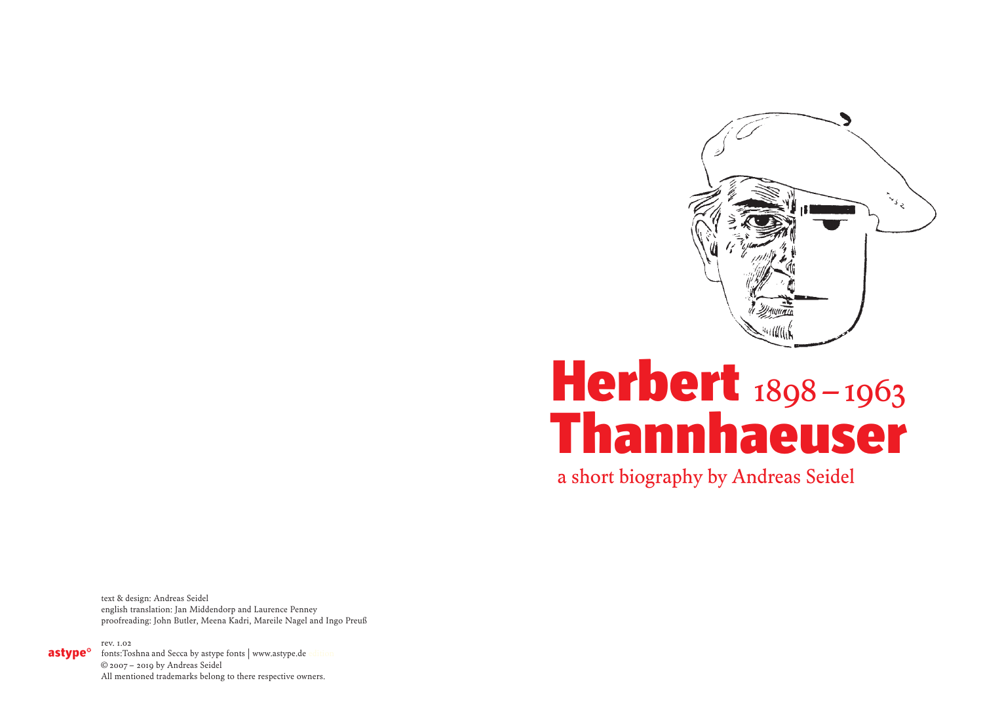

# Thannhaeuser Herbert 1898-1963

a short biography by Andreas Seidel

text & design: Andreas Seidel english translation: Jan Middendorp and Laurence Penney proofreading: John Butler, Meena Kadri, Mareile Nagel and Ingo Preuß

rev. 1.02 astype<sup>o</sup>

fonts: Toshna and Secca by astype fonts | www.astype.de © 2007 –  2019 by Andreas Seidel All mentioned trademarks belong to there respective owners.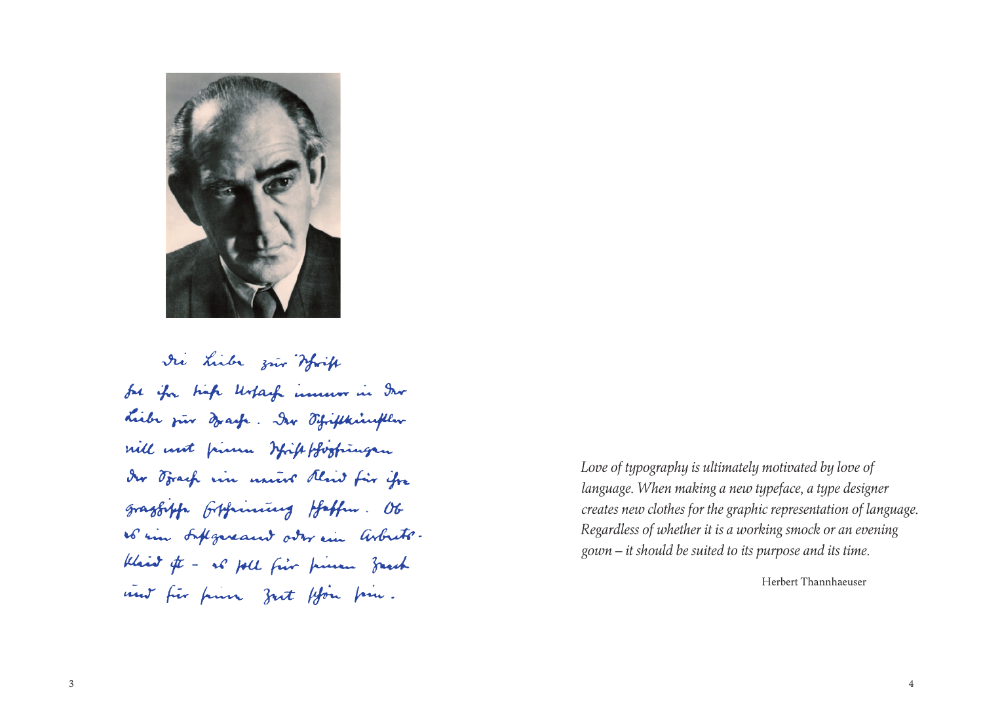

Die Liebe zur Write for ifor high Ustage innum in Dur Liebe jur draft. Der Fifikkingther will not pinn bight forgingen der Frank vin univer Revid für ihre grazbiffe fifficially Haffen. Ob so in suffgereams over in arbeito. Klaid of - as foll five prime franch not für finn zut ffon fin.

*Love of typography is ultimately motivated by love of language. When making a new typeface, a type designer creates new clothes for the graphic representation of language. Regardless of whether it is a working smock or an evening gown – it should be suited to its purpose and its time.*

Herbert Thannhaeuser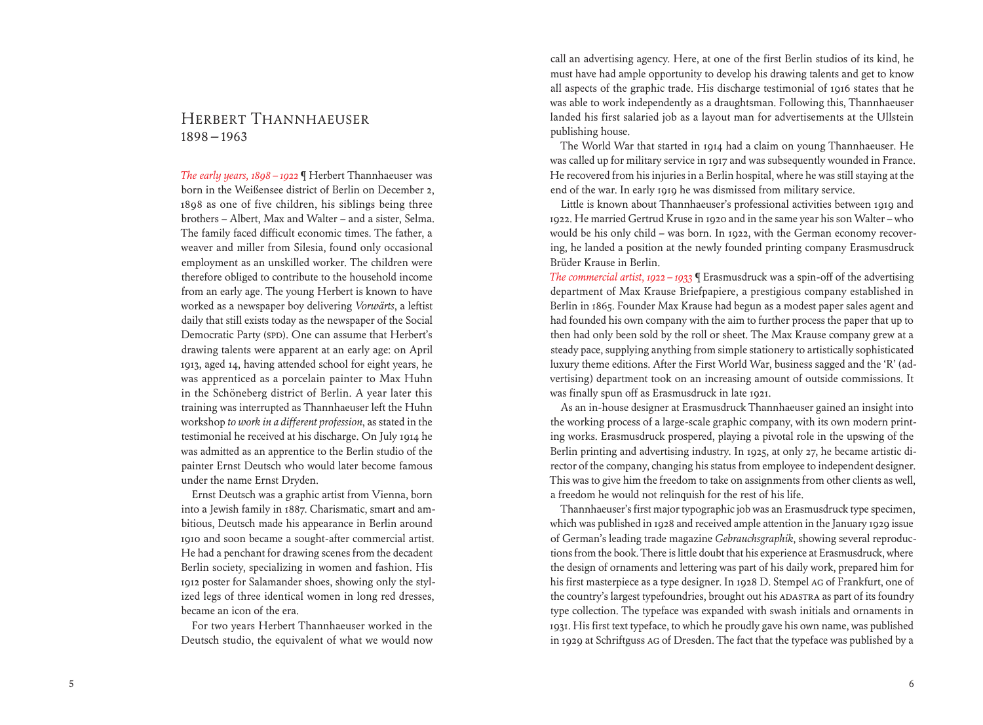## Herbert Thannhaeuser 1898 – 1963

*The early years, 1898* – 1922 **We** Herbert Thannhaeuser was born in the Weißensee district of Berlin on December 2, 1898 as one of five children, his siblings being three brothers – Albert, Max and Walter – and a sister, Selma. The family faced difficult economic times. The father, a weaver and miller from Silesia, found only occasional employment as an unskilled worker. The children were therefore obliged to contribute to the household income from an early age. The young Herbert is known to have worked as a newspaper boy delivering *Vorwärts*, a leftist daily that still exists today as the newspaper of the Social Democratic Party (SPD). One can assume that Herbert's drawing talents were apparent at an early age: on April 1913, aged 14, having attended school for eight years, he was apprenticed as a porcelain painter to Max Huhn in the Schöneberg district of Berlin. A year later this training was interrupted as Thannhaeuser left the Huhn workshop *to work in a different profession*, as stated in the testimonial he received at his discharge. On July 1914 he was admitted as an apprentice to the Berlin studio of the painter Ernst Deutsch who would later become famous under the name Ernst Dryden.

 Ernst Deutsch was a graphic artist from Vienna, born into a Jewish family in 1887. Charismatic, smart and ambitious, Deutsch made his appearance in Berlin around 1910 and soon became a sought-after commercial artist. He had a penchant for drawing scenes from the decadent Berlin society, specializing in women and fashion. His 1912 poster for Salamander shoes, showing only the stylized legs of three identical women in long red dresses, became an icon of the era.

 For two years Herbert Thannhaeuser worked in the Deutsch studio, the equivalent of what we would now

call an advertising agency. Here, at one of the first Berlin studios of its kind, he must have had ample opportunity to develop his drawing talents and get to know all aspects of the graphic trade. His discharge testimonial of 1916 states that he was able to work independently as a draughtsman. Following this, Thannhaeuser landed his first salaried job as a layout man for advertisements at the Ullstein publishing house.

 The World War that started in 1914 had a claim on young Thannhaeuser. He was called up for military service in 1917 and was subsequently wounded in France. He recovered from his injuries in a Berlin hospital, where he was still staying at the end of the war. In early 1919 he was dismissed from military service.

 Little is known about Thannhaeuser's professional activities between 1919 and 1922. He married Gertrud Kruse in 1920 and in the same year his son Walter – who would be his only child – was born. In 1922, with the German economy recovering, he landed a position at the newly founded printing company Erasmusdruck Brüder Krause in Berlin.

*The commercial artist, 1922 – 1933* ¶ Erasmusdruck was a spin-off of the advertising department of Max Krause Briefpapiere, a prestigious company established in Berlin in 1865. Founder Max Krause had begun as a modest paper sales agent and had founded his own company with the aim to further process the paper that up to then had only been sold by the roll or sheet. The Max Krause company grew at a steady pace, supplying anything from simple stationery to artistically sophisticated luxury theme editions. After the First World War, business sagged and the 'R' (advertising) department took on an increasing amount of outside commissions. It was finally spun off as Erasmusdruck in late 1921.

 As an in-house designer at Erasmusdruck Thannhaeuser gained an insight into the working process of a large-scale graphic company, with its own modern printing works. Erasmusdruck prospered, playing a pivotal role in the upswing of the Berlin printing and advertising industry. In 1925, at only 27, he became artistic director of the company, changing his status from employee to independent designer. This was to give him the freedom to take on assignments from other clients as well, a freedom he would not relinquish for the rest of his life.

 Thannhaeuser's first major typographic job was an Erasmusdruck type specimen, which was published in 1928 and received ample attention in the January 1929 issue of German's leading trade magazine *Gebrauchsgraphik*, showing several reproductions from the book. There is little doubt that his experience at Erasmusdruck, where the design of ornaments and lettering was part of his daily work, prepared him for his first masterpiece as a type designer. In 1928 D. Stempel AG of Frankfurt, one of the country's largest typefoundries, brought out his ADASTRA as part of its foundry type collection. The typeface was expanded with swash initials and ornaments in 1931. His first text typeface, to which he proudly gave his own name, was published in 1929 at Schriftguss AG of Dresden. The fact that the typeface was published by a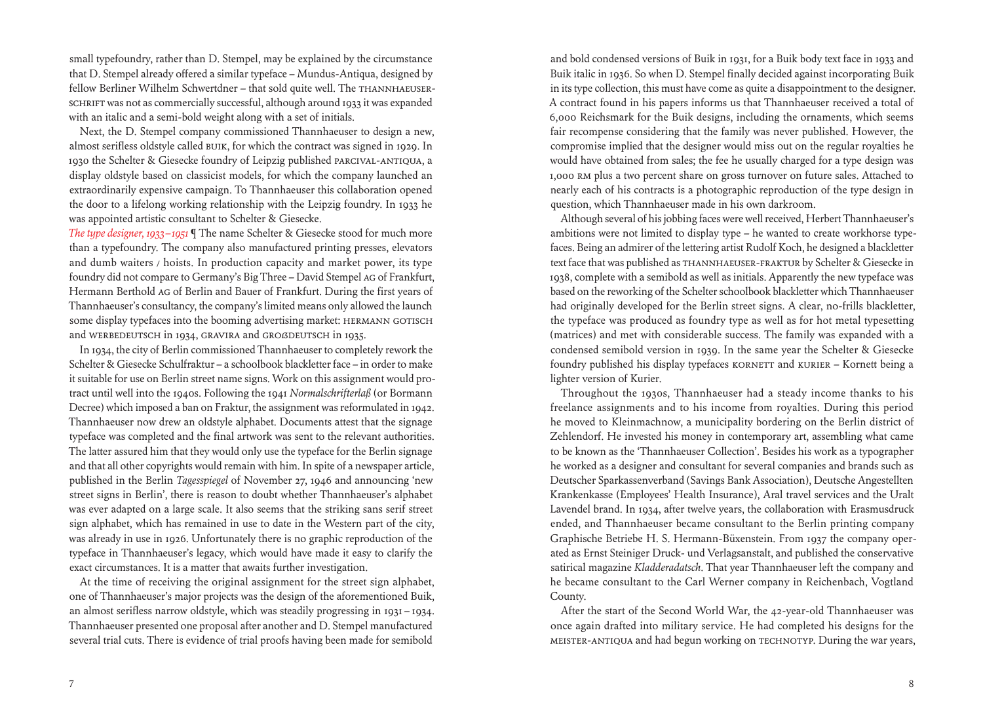small typefoundry, rather than D. Stempel, may be explained by the circumstance that D. Stempel already offered a similar typeface – Mundus-Antiqua, designed by fellow Berliner Wilhelm Schwertdner – that sold quite well. The THANNHAEUSER-SCHRIFT was not as commercially successful, although around 1933 it was expanded with an italic and a semi-bold weight along with a set of initials.

 Next, the D. Stempel company commissioned Thannhaeuser to design a new, almost serifless oldstyle called Buik, for which the contract was signed in 1929. In 1930 the Schelter & Giesecke foundry of Leipzig published Parcival-Antiqua, a display oldstyle based on classicist models, for which the company launched an extraordinarily expensive campaign. To Thannhaeuser this collaboration opened the door to a lifelong working relationship with the Leipzig foundry. In 1933 he was appointed artistic consultant to Schelter & Giesecke.

*The type designer, 1933 – 1951* ¶ The name Schelter & Giesecke stood for much more than a typefoundry. The company also manufactured printing presses, elevators and dumb waiters / hoists. In production capacity and market power, its type foundry did not compare to Germany's Big Three – David Stempel AG of Frankfurt, Hermann Berthold AG of Berlin and Bauer of Frankfurt. During the first years of Thannhaeuser's consultancy, the company's limited means only allowed the launch some display typefaces into the booming advertising market: HERMANN GOTISCH and WERBEDEUTSCH in 1934, GRAVIRA and GROßDEUTSCH in 1935.

 In 1934, the city of Berlin commissioned Thannhaeuser to completely rework the Schelter & Giesecke Schulfraktur – a schoolbook blackletter face – in order to make it suitable for use on Berlin street name signs. Work on this assignment would protract until well into the 1940s. Following the 1941 *Normalschrifterlaß* (or Bormann Decree) which imposed a ban on Fraktur, the assignment was reformulated in 1942. Thannhaeuser now drew an oldstyle alphabet. Documents attest that the signage typeface was completed and the final artwork was sent to the relevant authorities. The latter assured him that they would only use the typeface for the Berlin signage and that all other copyrights would remain with him. In spite of a newspaper article, published in the Berlin *Tagesspiegel* of November 27, 1946 and announcing 'new street signs in Berlin', there is reason to doubt whether Thannhaeuser's alphabet was ever adapted on a large scale. It also seems that the striking sans serif street sign alphabet, which has remained in use to date in the Western part of the city, was already in use in 1926. Unfortunately there is no graphic reproduction of the typeface in Thannhaeuser's legacy, which would have made it easy to clarify the exact circumstances. It is a matter that awaits further investigation.

 At the time of receiving the original assignment for the street sign alphabet, one of Thannhaeuser's major projects was the design of the aforementioned Buik, an almost serifless narrow oldstyle, which was steadily progressing in 1931 – 1934. Thannhaeuser presented one proposal after another and D. Stempel manufactured several trial cuts. There is evidence of trial proofs having been made for semibold

and bold condensed versions of Buik in 1931, for a Buik body text face in 1933 and Buik italic in 1936. So when D. Stempel finally decided against incorporating Buik in its type collection, this must have come as quite a disappointment to the designer. A contract found in his papers informs us that Thannhaeuser received a total of 6,000 Reichsmark for the Buik designs, including the ornaments, which seems fair recompense considering that the family was never published. However, the compromise implied that the designer would miss out on the regular royalties he would have obtained from sales; the fee he usually charged for a type design was 1,000 RM plus a two percent share on gross turnover on future sales. Attached to nearly each of his contracts is a photographic reproduction of the type design in question, which Thannhaeuser made in his own darkroom.

 Although several of his jobbing faces were well received, Herbert Thannhaeuser's ambitions were not limited to display type – he wanted to create workhorse typefaces. Being an admirer of the lettering artist Rudolf Koch, he designed a blackletter text face that was published as THANNHAEUSER-FRAKTUR by Schelter & Giesecke in 1938, complete with a semibold as well as initials. Apparently the new typeface was based on the reworking of the Schelter schoolbook blackletter which Thannhaeuser had originally developed for the Berlin street signs. A clear, no-frills blackletter, the typeface was produced as foundry type as well as for hot metal typesetting (matrices) and met with considerable success. The family was expanded with a condensed semibold version in 1939. In the same year the Schelter & Giesecke foundry published his display typefaces Kornett and Kurier – Kornett being a lighter version of Kurier.

 Throughout the 1930s, Thannhaeuser had a steady income thanks to his freelance assignments and to his income from royalties. During this period he moved to Kleinmachnow, a municipality bordering on the Berlin district of Zehlendorf. He invested his money in contemporary art, assembling what came to be known as the 'Thannhaeuser Collection'. Besides his work as a typographer he worked as a designer and consultant for several companies and brands such as Deutscher Sparkassenverband (Savings Bank Association), Deutsche Angestellten Krankenkasse (Employees' Health Insurance), Aral travel services and the Uralt Lavendel brand. In 1934, after twelve years, the collaboration with Erasmusdruck ended, and Thannhaeuser became consultant to the Berlin printing company Graphische Betriebe H. S. Hermann-Büxenstein. From 1937 the company operated as Ernst Steiniger Druck- und Verlagsanstalt, and published the conservative satirical magazine *Kladderadatsch*. That year Thannhaeuser left the company and he became consultant to the Carl Werner company in Reichenbach, Vogtland County.

 After the start of the Second World War, the 42-year-old Thannhaeuser was once again drafted into military service. He had completed his designs for the Meister-Antiqua and had begun working on Technotyp. During the war years,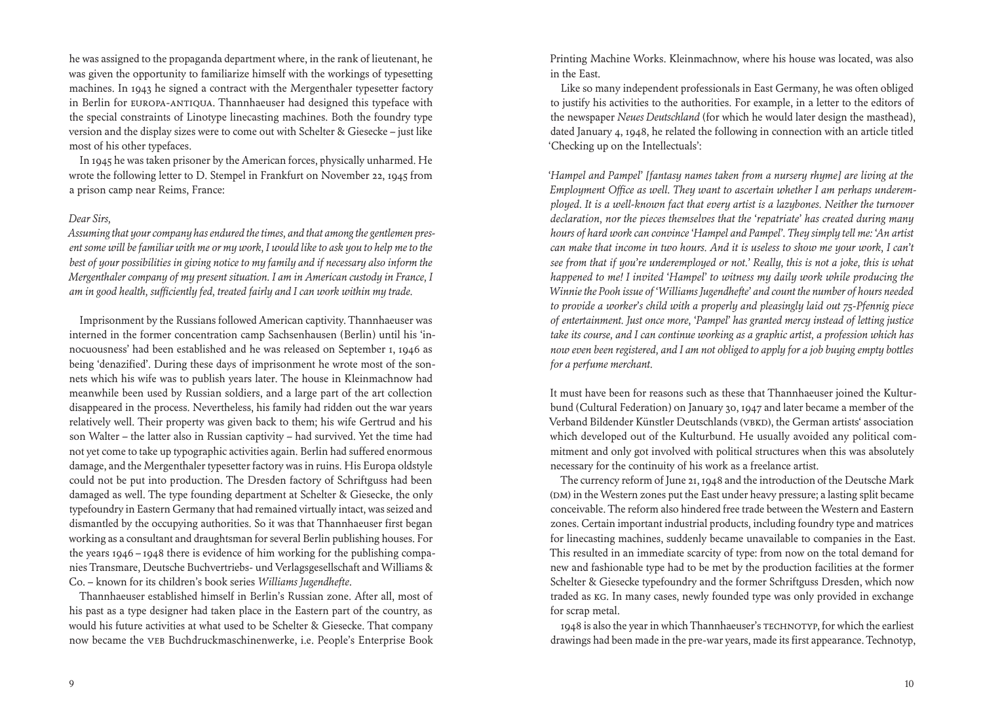he was assigned to the propaganda department where, in the rank of lieutenant, he was given the opportunity to familiarize himself with the workings of typesetting machines. In 1943 he signed a contract with the Mergenthaler typesetter factory in Berlin for Europa-Antiqua. Thannhaeuser had designed this typeface with the special constraints of Linotype linecasting machines. Both the foundry type version and the display sizes were to come out with Schelter & Giesecke – just like most of his other typefaces.

 In 1945 he was taken prisoner by the American forces, physically unharmed. He wrote the following letter to D. Stempel in Frankfurt on November 22, 1945 from a prison camp near Reims, France:

#### *Dear Sirs,*

*Assuming that your company has endured the times, and that among the gentlemen present some will be familiar with me or my work, I would like to ask you to help me to the best of your possibilities in giving notice to my family and if necessary also inform the Mergenthaler company of my present situation. I am in American custody in France, I am in good health, sufficiently fed, treated fairly and I can work within my trade.*

 Imprisonment by the Russians followed American captivity. Thannhaeuser was interned in the former concentration camp Sachsenhausen (Berlin) until his 'innocuousness' had been established and he was released on September 1, 1946 as being 'denazified'. During these days of imprisonment he wrote most of the sonnets which his wife was to publish years later. The house in Kleinmachnow had meanwhile been used by Russian soldiers, and a large part of the art collection disappeared in the process. Nevertheless, his family had ridden out the war years relatively well. Their property was given back to them; his wife Gertrud and his son Walter – the latter also in Russian captivity – had survived. Yet the time had not yet come to take up typographic activities again. Berlin had suffered enormous damage, and the Mergenthaler typesetter factory was in ruins. His Europa oldstyle could not be put into production. The Dresden factory of Schriftguss had been damaged as well. The type founding department at Schelter & Giesecke, the only typefoundry in Eastern Germany that had remained virtually intact, was seized and dismantled by the occupying authorities. So it was that Thannhaeuser first began working as a consultant and draughtsman for several Berlin publishing houses. For the years 1946 – 1948 there is evidence of him working for the publishing companies Transmare, Deutsche Buchvertriebs- und Verlagsgesellschaft and Williams & Co. – known for its children's book series *Williams Jugendhefte*.

 Thannhaeuser established himself in Berlin's Russian zone. After all, most of his past as a type designer had taken place in the Eastern part of the country, as would his future activities at what used to be Schelter & Giesecke. That company now became the VEB Buchdruckmaschinenwerke, i.e. People's Enterprise Book Printing Machine Works. Kleinmachnow, where his house was located, was also in the East.

 Like so many independent professionals in East Germany, he was often obliged to justify his activities to the authorities. For example, in a letter to the editors of the newspaper *Neues Deutschland* (for which he would later design the masthead), dated January 4, 1948, he related the following in connection with an article titled 'Checking up on the Intellectuals':

*'Hampel and Pampel' [fantasy names taken from a nursery rhyme] are living at the Employment Office as well. They want to ascertain whether I am perhaps underemployed. It is a well-known fact that every artist is a lazybones. Neither the turnover declaration, nor the pieces themselves that the 'repatriate' has created during many hours of hard work can convince 'Hampel and Pampel'. They simply tell me: 'An artist can make that income in two hours. And it is useless to show me your work, I can't see from that if you're underemployed or not.' Really, this is not a joke, this is what happened to me! I invited 'Hampel' to witness my daily work while producing the Winnie the Pooh issue of 'Williams Jugendhefte' and count the number of hours needed to provide a worker's child with a properly and pleasingly laid out 75-Pfennig piece of entertainment. Just once more, 'Pampel' has granted mercy instead of letting justice take its course, and I can continue working as a graphic artist, a profession which has now even been registered, and I am not obliged to apply for a job buying empty bottles for a perfume merchant.*

It must have been for reasons such as these that Thannhaeuser joined the Kulturbund (Cultural Federation) on January 30, 1947 and later became a member of the Verband Bildender Künstler Deutschlands (VBKD), the German artists' association which developed out of the Kulturbund. He usually avoided any political commitment and only got involved with political structures when this was absolutely necessary for the continuity of his work as a freelance artist.

 The currency reform of June 21, 1948 and the introduction of the Deutsche Mark (DM) in the Western zones put the East under heavy pressure; a lasting split became conceivable. The reform also hindered free trade between the Western and Eastern zones. Certain important industrial products, including foundry type and matrices for linecasting machines, suddenly became unavailable to companies in the East. This resulted in an immediate scarcity of type: from now on the total demand for new and fashionable type had to be met by the production facilities at the former Schelter & Giesecke typefoundry and the former Schriftguss Dresden, which now traded as KG. In many cases, newly founded type was only provided in exchange for scrap metal.

 1948 is also the year in which Thannhaeuser's Technotyp, for which the earliest drawings had been made in the pre-war years, made its first appearance. Technotyp,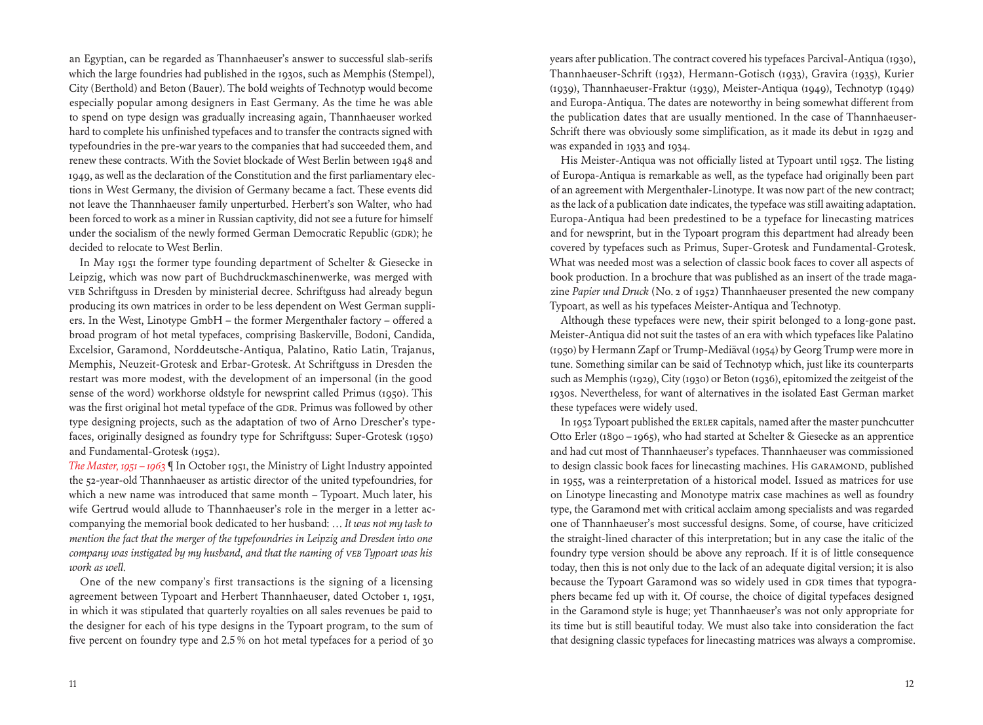an Egyptian, can be regarded as Thannhaeuser's answer to successful slab-serifs which the large foundries had published in the 1930s, such as Memphis (Stempel), City (Berthold) and Beton (Bauer). The bold weights of Technotyp would become especially popular among designers in East Germany. As the time he was able to spend on type design was gradually increasing again, Thannhaeuser worked hard to complete his unfinished typefaces and to transfer the contracts signed with typefoundries in the pre-war years to the companies that had succeeded them, and renew these contracts. With the Soviet blockade of West Berlin between 1948 and 1949, as well as the declaration of the Constitution and the first parliamentary elections in West Germany, the division of Germany became a fact. These events did not leave the Thannhaeuser family unperturbed. Herbert's son Walter, who had been forced to work as a miner in Russian captivity, did not see a future for himself under the socialism of the newly formed German Democratic Republic (GDR); he decided to relocate to West Berlin.

 In May 1951 the former type founding department of Schelter & Giesecke in Leipzig, which was now part of Buchdruckmaschinenwerke, was merged with VEB Schriftguss in Dresden by ministerial decree. Schriftguss had already begun producing its own matrices in order to be less dependent on West German suppliers. In the West, Linotype GmbH – the former Mergenthaler factory – offered a broad program of hot metal typefaces, comprising Baskerville, Bodoni, Candida, Excelsior, Garamond, Norddeutsche-Antiqua, Palatino, Ratio Latin, Trajanus, Memphis, Neuzeit-Grotesk and Erbar-Grotesk. At Schriftguss in Dresden the restart was more modest, with the development of an impersonal (in the good sense of the word) workhorse oldstyle for newsprint called Primus (1950). This was the first original hot metal typeface of the GDR. Primus was followed by other type designing projects, such as the adaptation of two of Arno Drescher's typefaces, originally designed as foundry type for Schriftguss: Super-Grotesk (1950) and Fundamental-Grotesk (1952).

*The Master, 1951 – 1963* ¶ In October 1951, the Ministry of Light Industry appointed the 52-year-old Thannhaeuser as artistic director of the united typefoundries, for which a new name was introduced that same month – Typoart. Much later, his wife Gertrud would allude to Thannhaeuser's role in the merger in a letter accompanying the memorial book dedicated to her husband: *… It was not my task to mention the fact that the merger of the typefoundries in Leipzig and Dresden into one company was instigated by my husband, and that the naming of VEB Typoart was his work as well.*

 One of the new company's first transactions is the signing of a licensing agreement between Typoart and Herbert Thannhaeuser, dated October 1, 1951, in which it was stipulated that quarterly royalties on all sales revenues be paid to the designer for each of his type designs in the Typoart program, to the sum of five percent on foundry type and 2.5 % on hot metal typefaces for a period of 30 years after publication. The contract covered his typefaces Parcival-Antiqua (1930), Thannhaeuser-Schrift (1932), Hermann-Gotisch (1933), Gravira (1935), Kurier (1939), Thannhaeuser-Fraktur (1939), Meister-Antiqua (1949), Technotyp (1949) and Europa-Antiqua. The dates are noteworthy in being somewhat different from the publication dates that are usually mentioned. In the case of Thannhaeuser-Schrift there was obviously some simplification, as it made its debut in 1929 and was expanded in 1933 and 1934.

 His Meister-Antiqua was not officially listed at Typoart until 1952. The listing of Europa-Antiqua is remarkable as well, as the typeface had originally been part of an agreement with Mergenthaler-Linotype. It was now part of the new contract; as the lack of a publication date indicates, the typeface was still awaiting adaptation. Europa-Antiqua had been predestined to be a typeface for linecasting matrices and for newsprint, but in the Typoart program this department had already been covered by typefaces such as Primus, Super-Grotesk and Fundamental-Grotesk. What was needed most was a selection of classic book faces to cover all aspects of book production. In a brochure that was published as an insert of the trade magazine *Papier und Druck* (No. 2 of 1952) Thannhaeuser presented the new company Typoart, as well as his typefaces Meister-Antiqua and Technotyp.

 Although these typefaces were new, their spirit belonged to a long-gone past. Meister-Antiqua did not suit the tastes of an era with which typefaces like Palatino (1950) by Hermann Zapf or Trump-Mediäval (1954) by Georg Trump were more in tune. Something similar can be said of Technotyp which, just like its counterparts such as Memphis (1929), City (1930) or Beton (1936), epitomized the zeitgeist of the 1930s. Nevertheless, for want of alternatives in the isolated East German market these typefaces were widely used.

 In 1952 Typoart published the Erler capitals, named after the master punchcutter Otto Erler (1890 – 1965), who had started at Schelter & Giesecke as an apprentice and had cut most of Thannhaeuser's typefaces. Thannhaeuser was commissioned to design classic book faces for linecasting machines. His GARAMOND, published in 1955, was a reinterpretation of a historical model. Issued as matrices for use on Linotype linecasting and Monotype matrix case machines as well as foundry type, the Garamond met with critical acclaim among specialists and was regarded one of Thannhaeuser's most successful designs. Some, of course, have criticized the straight-lined character of this interpretation; but in any case the italic of the foundry type version should be above any reproach. If it is of little consequence today, then this is not only due to the lack of an adequate digital version; it is also because the Typoart Garamond was so widely used in GDR times that typographers became fed up with it. Of course, the choice of digital typefaces designed in the Garamond style is huge; yet Thannhaeuser's was not only appropriate for its time but is still beautiful today. We must also take into consideration the fact that designing classic typefaces for linecasting matrices was always a compromise.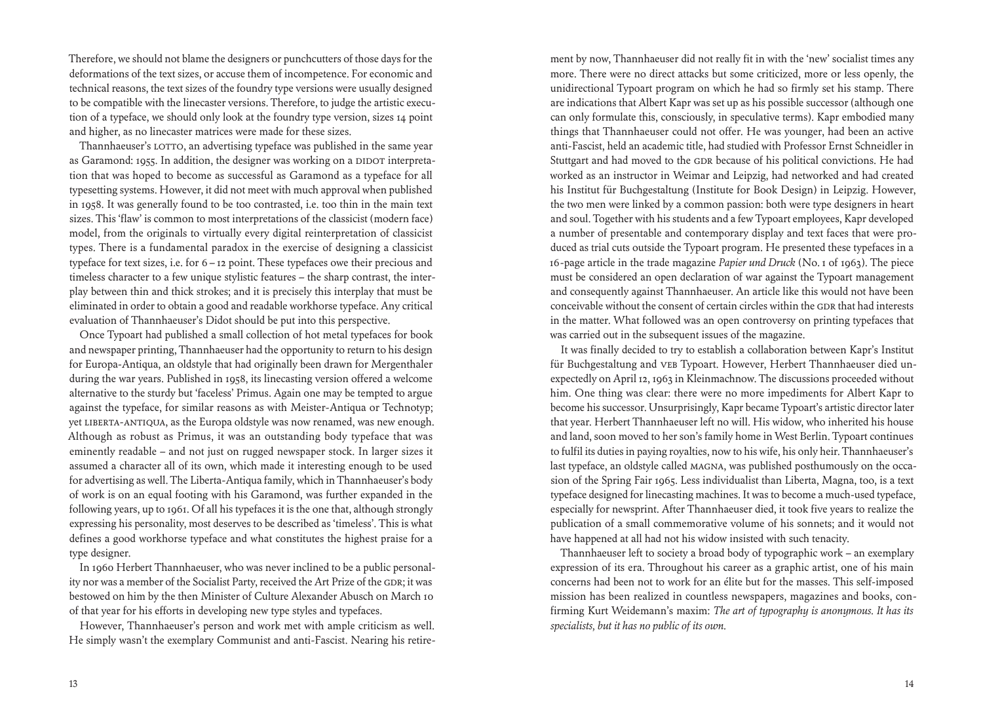Therefore, we should not blame the designers or punchcutters of those days for the deformations of the text sizes, or accuse them of incompetence. For economic and technical reasons, the text sizes of the foundry type versions were usually designed to be compatible with the linecaster versions. Therefore, to judge the artistic execution of a typeface, we should only look at the foundry type version, sizes 14 point and higher, as no linecaster matrices were made for these sizes.

Thannhaeuser's LOTTO, an advertising typeface was published in the same year as Garamond: 1955. In addition, the designer was working on a DIDOT interpretation that was hoped to become as successful as Garamond as a typeface for all typesetting systems. However, it did not meet with much approval when published in 1958. It was generally found to be too contrasted, i.e. too thin in the main text sizes. This 'flaw' is common to most interpretations of the classicist (modern face) model, from the originals to virtually every digital reinterpretation of classicist types. There is a fundamental paradox in the exercise of designing a classicist typeface for text sizes, i.e. for 6 – 12 point. These typefaces owe their precious and timeless character to a few unique stylistic features – the sharp contrast, the interplay between thin and thick strokes; and it is precisely this interplay that must be eliminated in order to obtain a good and readable workhorse typeface. Any critical evaluation of Thannhaeuser's Didot should be put into this perspective.

 Once Typoart had published a small collection of hot metal typefaces for book and newspaper printing, Thannhaeuser had the opportunity to return to his design for Europa-Antiqua, an oldstyle that had originally been drawn for Mergenthaler during the war years. Published in 1958, its linecasting version offered a welcome alternative to the sturdy but 'faceless' Primus. Again one may be tempted to argue against the typeface, for similar reasons as with Meister-Antiqua or Technotyp; yet LIBERTA-ANTIQUA, as the Europa oldstyle was now renamed, was new enough. Although as robust as Primus, it was an outstanding body typeface that was eminently readable – and not just on rugged newspaper stock. In larger sizes it assumed a character all of its own, which made it interesting enough to be used for advertising as well. The Liberta-Antiqua family, which in Thannhaeuser's body of work is on an equal footing with his Garamond, was further expanded in the following years, up to 1961. Of all his typefaces it is the one that, although strongly expressing his personality, most deserves to be described as 'timeless'. This is what defines a good workhorse typeface and what constitutes the highest praise for a type designer.

 In 1960 Herbert Thannhaeuser, who was never inclined to be a public personality nor was a member of the Socialist Party, received the Art Prize of the GDR; it was bestowed on him by the then Minister of Culture Alexander Abusch on March 10 of that year for his efforts in developing new type styles and typefaces.

 However, Thannhaeuser's person and work met with ample criticism as well. He simply wasn't the exemplary Communist and anti-Fascist. Nearing his retirement by now, Thannhaeuser did not really fit in with the 'new' socialist times any more. There were no direct attacks but some criticized, more or less openly, the unidirectional Typoart program on which he had so firmly set his stamp. There are indications that Albert Kapr was set up as his possible successor (although one can only formulate this, consciously, in speculative terms). Kapr embodied many things that Thannhaeuser could not offer. He was younger, had been an active anti-Fascist, held an academic title, had studied with Professor Ernst Schneidler in Stuttgart and had moved to the GDR because of his political convictions. He had worked as an instructor in Weimar and Leipzig, had networked and had created his Institut für Buchgestaltung (Institute for Book Design) in Leipzig. However, the two men were linked by a common passion: both were type designers in heart and soul. Together with his students and a few Typoart employees, Kapr developed a number of presentable and contemporary display and text faces that were produced as trial cuts outside the Typoart program. He presented these typefaces in a 16-page article in the trade magazine *Papier und Druck* (No. 1 of 1963). The piece must be considered an open declaration of war against the Typoart management and consequently against Thannhaeuser. An article like this would not have been conceivable without the consent of certain circles within the GDR that had interests in the matter. What followed was an open controversy on printing typefaces that was carried out in the subsequent issues of the magazine.

 It was finally decided to try to establish a collaboration between Kapr's Institut für Buchgestaltung and VEB Typoart. However, Herbert Thannhaeuser died unexpectedly on April 12, 1963 in Kleinmachnow. The discussions proceeded without him. One thing was clear: there were no more impediments for Albert Kapr to become his successor. Unsurprisingly, Kapr became Typoart's artistic director later that year. Herbert Thannhaeuser left no will. His widow, who inherited his house and land, soon moved to her son's family home in West Berlin. Typoart continues to fulfil its duties in paying royalties, now to his wife, his only heir. Thannhaeuser's last typeface, an oldstyle called Magna, was published posthumously on the occasion of the Spring Fair 1965. Less individualist than Liberta, Magna, too, is a text typeface designed for linecasting machines. It was to become a much-used typeface, especially for newsprint. After Thannhaeuser died, it took five years to realize the publication of a small commemorative volume of his sonnets; and it would not have happened at all had not his widow insisted with such tenacity.

 Thannhaeuser left to society a broad body of typographic work – an exemplary expression of its era. Throughout his career as a graphic artist, one of his main concerns had been not to work for an élite but for the masses. This self-imposed mission has been realized in countless newspapers, magazines and books, confirming Kurt Weidemann's maxim: *The art of typography is anonymous. It has its specialists, but it has no public of its own.*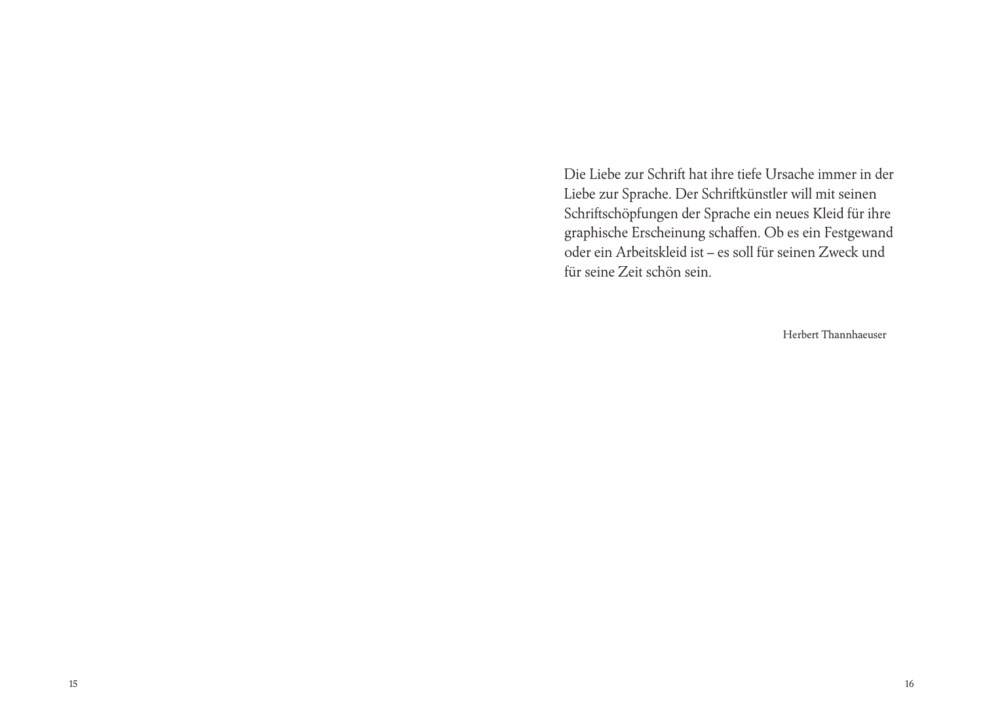Die Liebe zur Schrift hat ihre tiefe Ursache immer in der Liebe zur Sprache. Der Schriftkünstler will mit seinen Schriftschöpfungen der Sprache ein neues Kleid für ihre graphische Erscheinung schaffen. Ob es ein Festgewand oder ein Arbeitskleid ist – es soll für seinen Zweck und für seine Zeit schön sein.

Herbert Thannhaeuser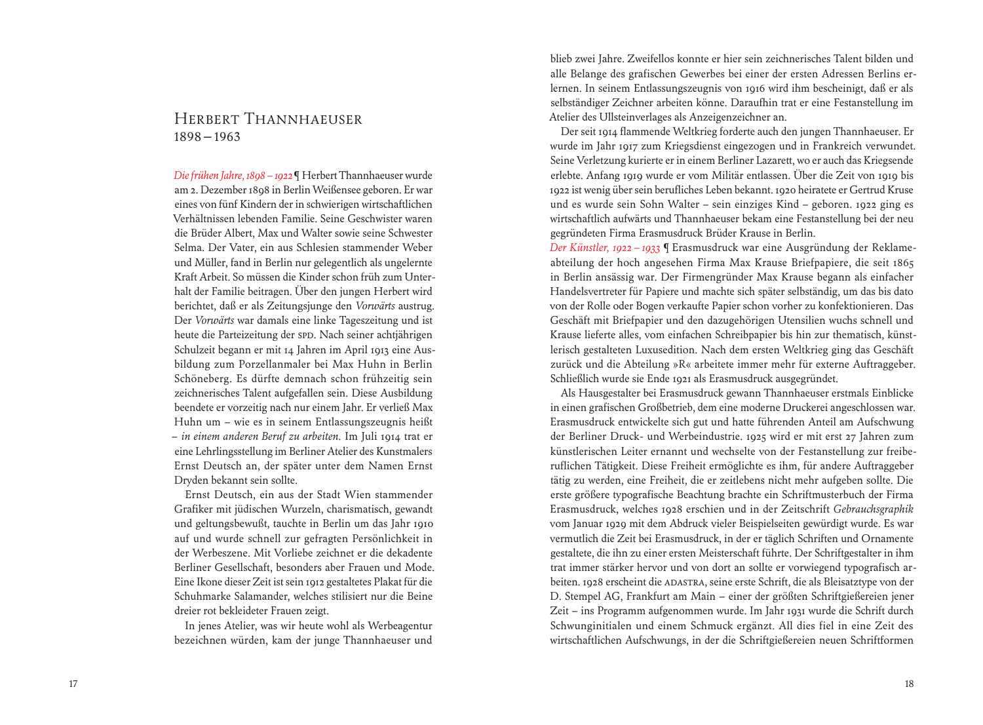## Herbert Thannhaeuser 1898 – 1963

*Die frühen Jahre, 1898 – 1922*¶ Herbert Thannhaeuser wurde am 2. Dezember 1898 in Berlin Weißensee geboren. Er war eines von fünf Kindern der in schwierigen wirtschaftlichen Verhältnissen lebenden Familie. Seine Geschwister waren die Brüder Albert, Max und Walter sowie seine Schwester Selma. Der Vater, ein aus Schlesien stammender Weber und Müller, fand in Berlin nur gelegentlich als ungelernte Kraft Arbeit. So müssen die Kinder schon früh zum Unterhalt der Familie beitragen. Über den jungen Herbert wird berichtet, daß er als Zeitungsjunge den *Vorwärts* austrug. Der *Vorwärts* war damals eine linke Tageszeitung und ist heute die Parteizeitung der SPD. Nach seiner achtjährigen Schulzeit begann er mit 14 Jahren im April 1913 eine Ausbildung zum Porzellanmaler bei Max Huhn in Berlin Schöneberg. Es dürfte demnach schon frühzeitig sein zeichnerisches Talent aufgefallen sein. Diese Ausbildung beendete er vorzeitig nach nur einem Jahr. Er verließ Max Huhn um – wie es in seinem Entlassungszeugnis heißt ‒ *in einem anderen Beruf zu arbeiten.* Im Juli 1914 trat er eine Lehrlingsstellung im Berliner Atelier des Kunstmalers Ernst Deutsch an, der später unter dem Namen Ernst Dryden bekannt sein sollte.

 Ernst Deutsch, ein aus der Stadt Wien stammender Grafiker mit jüdischen Wurzeln, charismatisch, gewandt und geltungsbewußt, tauchte in Berlin um das Jahr 1910 auf und wurde schnell zur gefragten Persönlichkeit in der Werbeszene. Mit Vorliebe zeichnet er die dekadente Berliner Gesellschaft, besonders aber Frauen und Mode. Eine Ikone dieser Zeit ist sein 1912 gestaltetes Plakat für die Schuhmarke Salamander, welches stilisiert nur die Beine dreier rot bekleideter Frauen zeigt.

 In jenes Atelier, was wir heute wohl als Werbeagentur bezeichnen würden, kam der junge Thannhaeuser und

blieb zwei Jahre. Zweifellos konnte er hier sein zeichnerisches Talent bilden und alle Belange des grafischen Gewerbes bei einer der ersten Adressen Berlins erlernen. In seinem Entlassungszeugnis von 1916 wird ihm bescheinigt, daß er als selbständiger Zeichner arbeiten könne. Daraufhin trat er eine Festanstellung im Atelier des Ullsteinverlages als Anzeigenzeichner an.

 Der seit 1914 flammende Weltkrieg forderte auch den jungen Thannhaeuser. Er wurde im Jahr 1917 zum Kriegsdienst eingezogen und in Frankreich verwundet. Seine Verletzung kurierte er in einem Berliner Lazarett, wo er auch das Kriegsende erlebte. Anfang 1919 wurde er vom Militär entlassen. Über die Zeit von 1919 bis 1922 ist wenig über sein berufliches Leben bekannt. 1920 heiratete er Gertrud Kruse und es wurde sein Sohn Walter – sein einziges Kind – geboren. 1922 ging es wirtschaftlich aufwärts und Thannhaeuser bekam eine Festanstellung bei der neu gegründeten Firma Erasmusdruck Brüder Krause in Berlin.

*Der Künstler, 1922 – 1933* ¶ Erasmusdruck war eine Ausgründung der Reklameabteilung der hoch angesehen Firma Max Krause Briefpapiere, die seit 1865 in Berlin ansässig war. Der Firmengründer Max Krause begann als einfacher Handelsvertreter für Papiere und machte sich später selbständig, um das bis dato von der Rolle oder Bogen verkaufte Papier schon vorher zu konfektionieren. Das Geschäft mit Briefpapier und den dazugehörigen Utensilien wuchs schnell und Krause lieferte alles, vom einfachen Schreibpapier bis hin zur thematisch, künstlerisch gestalteten Luxusedition. Nach dem ersten Weltkrieg ging das Geschäft zurück und die Abteilung »R« arbeitete immer mehr für externe Auftraggeber. Schließlich wurde sie Ende 1921 als Erasmusdruck ausgegründet.

 Als Hausgestalter bei Erasmusdruck gewann Thannhaeuser erstmals Einblicke in einen grafischen Großbetrieb, dem eine moderne Druckerei angeschlossen war. Erasmusdruck entwickelte sich gut und hatte führenden Anteil am Aufschwung der Berliner Druck- und Werbeindustrie. 1925 wird er mit erst 27 Jahren zum künstlerischen Leiter ernannt und wechselte von der Festanstellung zur freiberuflichen Tätigkeit. Diese Freiheit ermöglichte es ihm, für andere Auftraggeber tätig zu werden, eine Freiheit, die er zeitlebens nicht mehr aufgeben sollte. Die erste größere typografische Beachtung brachte ein Schriftmusterbuch der Firma Erasmusdruck, welches 1928 erschien und in der Zeitschrift *Gebrauchsgraphik* vom Januar 1929 mit dem Abdruck vieler Beispielseiten gewürdigt wurde. Es war vermutlich die Zeit bei Erasmusdruck, in der er täglich Schriften und Ornamente gestaltete, die ihn zu einer ersten Meisterschaft führte. Der Schriftgestalter in ihm trat immer stärker hervor und von dort an sollte er vorwiegend typografisch arbeiten. 1928 erscheint die Adastra, seine erste Schrift, die als Bleisatztype von der D. Stempel AG, Frankfurt am Main ‒ einer der größten Schriftgießereien jener Zeit – ins Programm aufgenommen wurde. Im Jahr 1931 wurde die Schrift durch Schwunginitialen und einem Schmuck ergänzt. All dies fiel in eine Zeit des wirtschaftlichen Aufschwungs, in der die Schriftgießereien neuen Schriftformen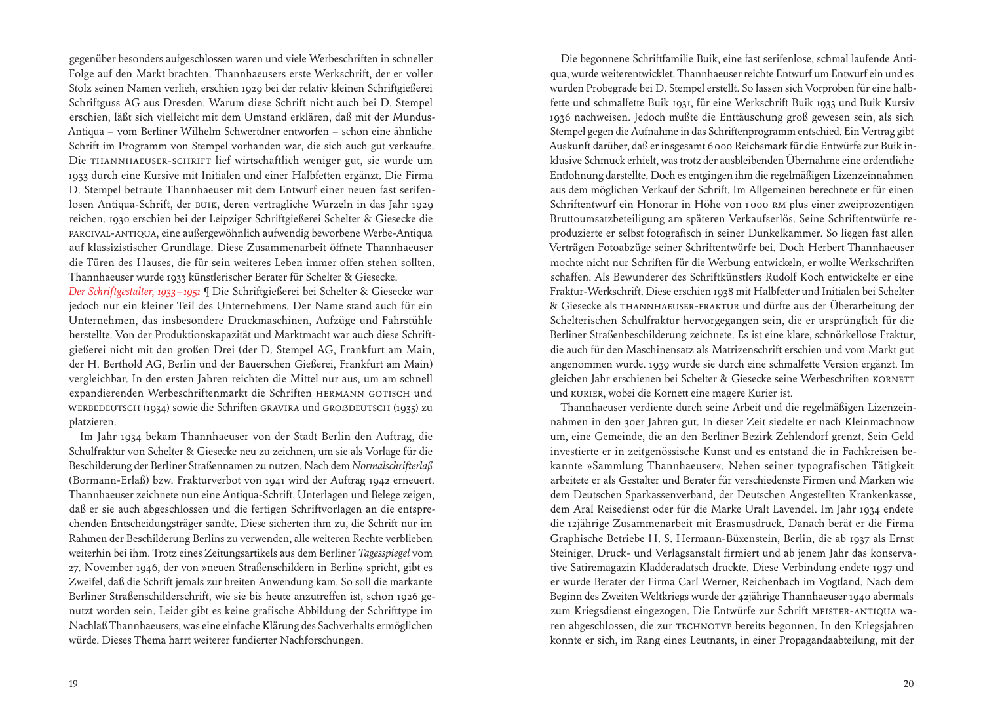gegenüber besonders aufgeschlossen waren und viele Werbeschriften in schneller Folge auf den Markt brachten. Thannhaeusers erste Werkschrift, der er voller Stolz seinen Namen verlieh, erschien 1929 bei der relativ kleinen Schriftgießerei Schriftguss AG aus Dresden. Warum diese Schrift nicht auch bei D. Stempel erschien, läßt sich vielleicht mit dem Umstand erklären, daß mit der Mundus-Antiqua ‒ vom Berliner Wilhelm Schwertdner entworfen ‒ schon eine ähnliche Schrift im Programm von Stempel vorhanden war, die sich auch gut verkaufte. Die Thannhaeuser-Schrift lief wirtschaftlich weniger gut, sie wurde um 1933 durch eine Kursive mit Initialen und einer Halbfetten ergänzt. Die Firma D. Stempel betraute Thannhaeuser mit dem Entwurf einer neuen fast serifenlosen Antiqua-Schrift, der Buik, deren vertragliche Wurzeln in das Jahr 1929 reichen. 1930 erschien bei der Leipziger Schriftgießerei Schelter & Giesecke die Parcival-Antiqua, eine außergewöhnlich aufwendig beworbene Werbe-Antiqua auf klassizistischer Grundlage. Diese Zusammenarbeit öffnete Thannhaeuser die Türen des Hauses, die für sein weiteres Leben immer offen stehen sollten. Thannhaeuser wurde 1933 künstlerischer Berater für Schelter & Giesecke.

*Der Schriftgestalter, 1933 – 1951* ¶ Die Schriftgießerei bei Schelter & Giesecke war jedoch nur ein kleiner Teil des Unternehmens. Der Name stand auch für ein Unternehmen, das insbesondere Druckmaschinen, Aufzüge und Fahrstühle herstellte. Von der Produktionskapazität und Marktmacht war auch diese Schriftgießerei nicht mit den großen Drei (der D. Stempel AG, Frankfurt am Main, der H. Berthold AG, Berlin und der Bauerschen Gießerei, Frankfurt am Main) vergleichbar. In den ersten Jahren reichten die Mittel nur aus, um am schnell expandierenden Werbeschriftenmarkt die Schriften HERMANN GOTISCH und WERBEDEUTSCH (1934) sowie die Schriften GRAVIRA und GROØDEUTSCH (1935) zu platzieren.

 Im Jahr 1934 bekam Thannhaeuser von der Stadt Berlin den Auftrag, die Schulfraktur von Schelter & Giesecke neu zu zeichnen, um sie als Vorlage für die Beschilderung der Berliner Straßennamen zu nutzen. Nach dem *Normalschrifterlaß* (Bormann-Erlaß) bzw. Frakturverbot von 1941 wird der Auftrag 1942 erneuert. Thannhaeuser zeichnete nun eine Antiqua-Schrift. Unterlagen und Belege zeigen, daß er sie auch abgeschlossen und die fertigen Schriftvorlagen an die entsprechenden Entscheidungsträger sandte. Diese sicherten ihm zu, die Schrift nur im Rahmen der Beschilderung Berlins zu verwenden, alle weiteren Rechte verblieben weiterhin bei ihm. Trotz eines Zeitungsartikels aus dem Berliner *Tagesspiegel* vom 27. November 1946, der von »neuen Straßenschildern in Berlin« spricht, gibt es Zweifel, daß die Schrift jemals zur breiten Anwendung kam. So soll die markante Berliner Straßenschilderschrift, wie sie bis heute anzutreffen ist, schon 1926 genutzt worden sein. Leider gibt es keine grafische Abbildung der Schrifttype im Nachlaß Thannhaeusers, was eine einfache Klärung des Sachverhalts ermöglichen würde. Dieses Thema harrt weiterer fundierter Nachforschungen.

 Die begonnene Schriftfamilie Buik, eine fast serifenlose, schmal laufende Antiqua, wurde weiterentwicklet. Thannhaeuser reichte Entwurf um Entwurf ein und es wurden Probegrade bei D. Stempel erstellt. So lassen sich Vorproben für eine halbfette und schmalfette Buik 1931, für eine Werkschrift Buik 1933 und Buik Kursiv 1936 nachweisen. Jedoch mußte die Enttäuschung groß gewesen sein, als sich Stempel gegen die Aufnahme in das Schriftenprogramm entschied. Ein Vertrag gibt Auskunft darüber, daß er insgesamt 6 000 Reichsmark für die Entwürfe zur Buik inklusive Schmuck erhielt, was trotz der ausbleibenden Übernahme eine ordentliche Entlohnung darstellte. Doch es entgingen ihm die regelmäßigen Lizenzeinnahmen aus dem möglichen Verkauf der Schrift. Im Allgemeinen berechnete er für einen Schriftentwurf ein Honorar in Höhe von 1000 RM plus einer zweiprozentigen Bruttoumsatzbeteiligung am späteren Verkaufserlös. Seine Schriftentwürfe reproduzierte er selbst fotografisch in seiner Dunkelkammer. So liegen fast allen Verträgen Fotoabzüge seiner Schriftentwürfe bei. Doch Herbert Thannhaeuser mochte nicht nur Schriften für die Werbung entwickeln, er wollte Werkschriften schaffen. Als Bewunderer des Schriftkünstlers Rudolf Koch entwickelte er eine Fraktur-Werkschrift. Diese erschien 1938 mit Halbfetter und Initialen bei Schelter & Giesecke als Thannhaeuser-Fraktur und dürfte aus der Überarbeitung der Schelterischen Schulfraktur hervorgegangen sein, die er ursprünglich für die Berliner Straßenbeschilderung zeichnete. Es ist eine klare, schnörkellose Fraktur, die auch für den Maschinensatz als Matrizenschrift erschien und vom Markt gut angenommen wurde. 1939 wurde sie durch eine schmalfette Version ergänzt. Im gleichen Jahr erschienen bei Schelter & Giesecke seine Werbeschriften KORNETT und Kurier, wobei die Kornett eine magere Kurier ist.

 Thannhaeuser verdiente durch seine Arbeit und die regelmäßigen Lizenzeinnahmen in den 30er Jahren gut. In dieser Zeit siedelte er nach Kleinmachnow um, eine Gemeinde, die an den Berliner Bezirk Zehlendorf grenzt. Sein Geld investierte er in zeitgenössische Kunst und es entstand die in Fachkreisen bekannte »Sammlung Thannhaeuser«. Neben seiner typografischen Tätigkeit arbeitete er als Gestalter und Berater für verschiedenste Firmen und Marken wie dem Deutschen Sparkassenverband, der Deutschen Angestellten Krankenkasse, dem Aral Reisedienst oder für die Marke Uralt Lavendel. Im Jahr 1934 endete die 12jährige Zusammenarbeit mit Erasmusdruck. Danach berät er die Firma Graphische Betriebe H. S. Hermann-Büxenstein, Berlin, die ab 1937 als Ernst Steiniger, Druck- und Verlagsanstalt firmiert und ab jenem Jahr das konservative Satiremagazin Kladderadatsch druckte. Diese Verbindung endete 1937 und er wurde Berater der Firma Carl Werner, Reichenbach im Vogtland. Nach dem Beginn des Zweiten Weltkriegs wurde der 42jährige Thannhaeuser 1940 abermals zum Kriegsdienst eingezogen. Die Entwürfe zur Schrift MEISTER-ANTIQUA waren abgeschlossen, die zur TECHNOTYP bereits begonnen. In den Kriegsjahren konnte er sich, im Rang eines Leutnants, in einer Propagandaabteilung, mit der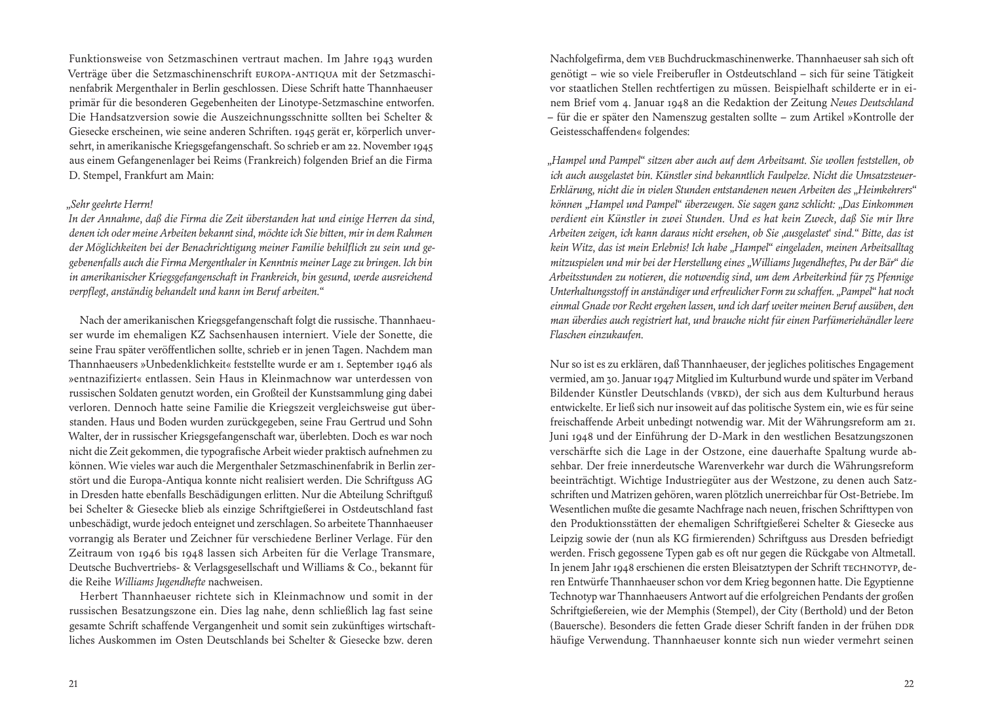Funktionsweise von Setzmaschinen vertraut machen. Im Jahre 1943 wurden Verträge über die Setzmaschinenschrift Europa-Antiqua mit der Setzmaschinenfabrik Mergenthaler in Berlin geschlossen. Diese Schrift hatte Thannhaeuser primär für die besonderen Gegebenheiten der Linotype-Setzmaschine entworfen. Die Handsatzversion sowie die Auszeichnungsschnitte sollten bei Schelter & Giesecke erscheinen, wie seine anderen Schriften. 1945 gerät er, körperlich unversehrt, in amerikanische Kriegsgefangenschaft. So schrieb er am 22. November 1945 aus einem Gefangenenlager bei Reims (Frankreich) folgenden Brief an die Firma D. Stempel, Frankfurt am Main:

#### *"Sehr geehrte Herrn!*

*In der Annahme, daß die Firma die Zeit überstanden hat und einige Herren da sind, denen ich oder meine Arbeiten bekannt sind, möchte ich Sie bitten, mir in dem Rahmen der Möglichkeiten bei der Benachrichtigung meiner Familie behilflich zu sein und gegebenenfalls auch die Firma Mergenthaler in Kenntnis meiner Lage zu bringen. Ich bin in amerikanischer Kriegsgefangenschaft in Frankreich, bin gesund, werde ausreichend verpflegt, anständig behandelt und kann im Beruf arbeiten."*

 Nach der amerikanischen Kriegsgefangenschaft folgt die russische. Thannhaeuser wurde im ehemaligen KZ Sachsenhausen interniert. Viele der Sonette, die seine Frau später veröffentlichen sollte, schrieb er in jenen Tagen. Nachdem man Thannhaeusers »Unbedenklichkeit« feststellte wurde er am 1. September 1946 als »entnazifiziert« entlassen. Sein Haus in Kleinmachnow war unterdessen von russischen Soldaten genutzt worden, ein Großteil der Kunstsammlung ging dabei verloren. Dennoch hatte seine Familie die Kriegszeit vergleichsweise gut überstanden. Haus und Boden wurden zurückgegeben, seine Frau Gertrud und Sohn Walter, der in russischer Kriegsgefangenschaft war, überlebten. Doch es war noch nicht die Zeit gekommen, die typografische Arbeit wieder praktisch aufnehmen zu können. Wie vieles war auch die Mergenthaler Setzmaschinenfabrik in Berlin zerstört und die Europa-Antiqua konnte nicht realisiert werden. Die Schriftguss AG in Dresden hatte ebenfalls Beschädigungen erlitten. Nur die Abteilung Schriftguß bei Schelter & Giesecke blieb als einzige Schriftgießerei in Ostdeutschland fast unbeschädigt, wurde jedoch enteignet und zerschlagen. So arbeitete Thannhaeuser vorrangig als Berater und Zeichner für verschiedene Berliner Verlage. Für den Zeitraum von 1946 bis 1948 lassen sich Arbeiten für die Verlage Transmare, Deutsche Buchvertriebs- & Verlagsgesellschaft und Williams & Co., bekannt für die Reihe *Williams Jugendhefte* nachweisen.

 Herbert Thannhaeuser richtete sich in Kleinmachnow und somit in der russischen Besatzungszone ein. Dies lag nahe, denn schließlich lag fast seine gesamte Schrift schaffende Vergangenheit und somit sein zukünftiges wirtschaftliches Auskommen im Osten Deutschlands bei Schelter & Giesecke bzw. deren

Nachfolgefirma, dem VEB Buchdruckmaschinenwerke. Thannhaeuser sah sich oft genötigt ‒ wie so viele Freiberufler in Ostdeutschland ‒ sich für seine Tätigkeit vor staatlichen Stellen rechtfertigen zu müssen. Beispielhaft schilderte er in einem Brief vom 4. Januar 1948 an die Redaktion der Zeitung *Neues Deutschland* ‒ für die er später den Namenszug gestalten sollte ‒ zum Artikel »Kontrolle der Geistesschaffenden« folgendes:

*"Hampel und Pampel" sitzen aber auch auf dem Arbeitsamt. Sie wollen feststellen, ob ich auch ausgelastet bin. Künstler sind bekanntlich Faulpelze. Nicht die Umsatzsteuer-Erklärung, nicht die in vielen Stunden entstandenen neuen Arbeiten des "Heimkehrers" können "Hampel und Pampel" überzeugen. Sie sagen ganz schlicht: "Das Einkommen verdient ein Künstler in zwei Stunden. Und es hat kein Zweck, daß Sie mir Ihre Arbeiten zeigen, ich kann daraus nicht ersehen, ob Sie 'ausgelastet' sind." Bitte, das ist kein Witz, das ist mein Erlebnis! Ich habe "Hampel" eingeladen, meinen Arbeitsalltag mitzuspielen und mir bei der Herstellung eines "Williams Jugendheftes, Pu der Bär" die Arbeitsstunden zu notieren, die notwendig sind, um dem Arbeiterkind für 75 Pfennige Unterhaltungsstoff in anständiger und erfreulicher Form zu schaffen. "Pampel" hat noch einmal Gnade vor Recht ergehen lassen, und ich darf weiter meinen Beruf ausüben, den man überdies auch registriert hat, und brauche nicht für einen Parfümeriehändler leere Flaschen einzukaufen.*

Nur so ist es zu erklären, daß Thannhaeuser, der jegliches politisches Engagement vermied, am 30. Januar 1947 Mitglied im Kulturbund wurde und später im Verband Bildender Künstler Deutschlands (VBKD), der sich aus dem Kulturbund heraus entwickelte. Er ließ sich nur insoweit auf das politische System ein, wie es für seine freischaffende Arbeit unbedingt notwendig war. Mit der Währungsreform am 21. Juni 1948 und der Einführung der D-Mark in den westlichen Besatzungszonen verschärfte sich die Lage in der Ostzone, eine dauerhafte Spaltung wurde absehbar. Der freie innerdeutsche Warenverkehr war durch die Währungsreform beeinträchtigt. Wichtige Industriegüter aus der Westzone, zu denen auch Satzschriften und Matrizen gehören, waren plötzlich unerreichbar für Ost-Betriebe. Im Wesentlichen mußte die gesamte Nachfrage nach neuen, frischen Schrifttypen von den Produktionsstätten der ehemaligen Schriftgießerei Schelter & Giesecke aus Leipzig sowie der (nun als KG firmierenden) Schriftguss aus Dresden befriedigt werden. Frisch gegossene Typen gab es oft nur gegen die Rückgabe von Altmetall. In jenem Jahr 1948 erschienen die ersten Bleisatztypen der Schrift TECHNOTYP, deren Entwürfe Thannhaeuser schon vor dem Krieg begonnen hatte. Die Egyptienne Technotyp war Thannhaeusers Antwort auf die erfolgreichen Pendants der großen Schriftgießereien, wie der Memphis (Stempel), der City (Berthold) und der Beton (Bauersche). Besonders die fetten Grade dieser Schrift fanden in der frühen DDR häufige Verwendung. Thannhaeuser konnte sich nun wieder vermehrt seinen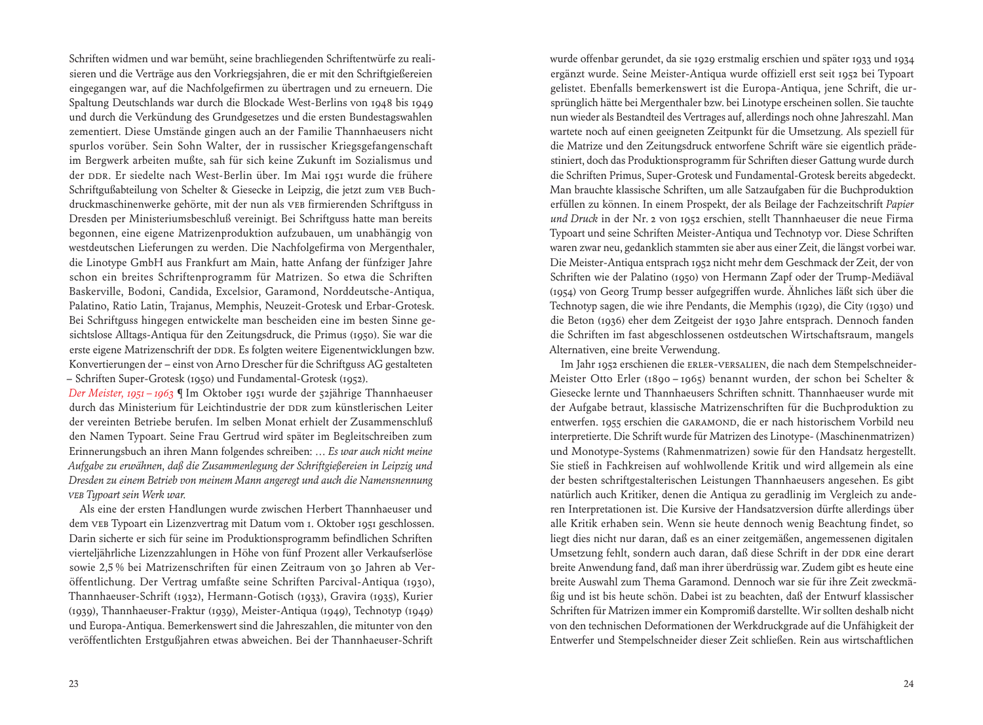Schriften widmen und war bemüht, seine brachliegenden Schriftentwürfe zu realisieren und die Verträge aus den Vorkriegsjahren, die er mit den Schriftgießereien eingegangen war, auf die Nachfolgefirmen zu übertragen und zu erneuern. Die Spaltung Deutschlands war durch die Blockade West-Berlins von 1948 bis 1949 und durch die Verkündung des Grundgesetzes und die ersten Bundestagswahlen zementiert. Diese Umstände gingen auch an der Familie Thannhaeusers nicht spurlos vorüber. Sein Sohn Walter, der in russischer Kriegsgefangenschaft im Bergwerk arbeiten mußte, sah für sich keine Zukunft im Sozialismus und der DDR. Er siedelte nach West-Berlin über. Im Mai 1951 wurde die frühere Schriftgußabteilung von Schelter & Giesecke in Leipzig, die jetzt zum VEB Buchdruckmaschinenwerke gehörte, mit der nun als VEB firmierenden Schriftguss in Dresden per Ministeriumsbeschluß vereinigt. Bei Schriftguss hatte man bereits begonnen, eine eigene Matrizenproduktion aufzubauen, um unabhängig von westdeutschen Lieferungen zu werden. Die Nachfolgefirma von Mergenthaler, die Linotype GmbH aus Frankfurt am Main, hatte Anfang der fünfziger Jahre schon ein breites Schriftenprogramm für Matrizen. So etwa die Schriften Baskerville, Bodoni, Candida, Excelsior, Garamond, Norddeutsche-Antiqua, Palatino, Ratio Latin, Trajanus, Memphis, Neuzeit-Grotesk und Erbar-Grotesk. Bei Schriftguss hingegen entwickelte man bescheiden eine im besten Sinne gesichtslose Alltags-Antiqua für den Zeitungsdruck, die Primus (1950). Sie war die erste eigene Matrizenschrift der DDR. Es folgten weitere Eigenentwicklungen bzw. Konvertierungen der – einst von Arno Drescher für die Schriftguss AG gestalteten ‒ Schriften Super-Grotesk (1950) und Fundamental-Grotesk (1952).

*Der Meister, 1951 – 1963* ¶ Im Oktober 1951 wurde der 52jährige Thannhaeuser durch das Ministerium für Leichtindustrie der DDR zum künstlerischen Leiter der vereinten Betriebe berufen. Im selben Monat erhielt der Zusammenschluß den Namen Typoart. Seine Frau Gertrud wird später im Begleitschreiben zum Erinnerungsbuch an ihren Mann folgendes schreiben: *… Es war auch nicht meine Aufgabe zu erwähnen, daß die Zusammenlegung der Schriftgießereien in Leipzig und Dresden zu einem Betrieb von meinem Mann angeregt und auch die Namensnennung VEB Typoart sein Werk war.*

 Als eine der ersten Handlungen wurde zwischen Herbert Thannhaeuser und dem VEB Typoart ein Lizenzvertrag mit Datum vom 1. Oktober 1951 geschlossen. Darin sicherte er sich für seine im Produktionsprogramm befindlichen Schriften vierteljährliche Lizenzzahlungen in Höhe von fünf Prozent aller Verkaufserlöse sowie 2,5 % bei Matrizenschriften für einen Zeitraum von 30 Jahren ab Veröffentlichung. Der Vertrag umfaßte seine Schriften Parcival-Antiqua (1930), Thannhaeuser-Schrift (1932), Hermann-Gotisch (1933), Gravira (1935), Kurier (1939), Thannhaeuser-Fraktur (1939), Meister-Antiqua (1949), Technotyp (1949) und Europa-Antiqua. Bemerkenswert sind die Jahreszahlen, die mitunter von den veröffentlichten Erstgußjahren etwas abweichen. Bei der Thannhaeuser-Schrift

wurde offenbar gerundet, da sie 1929 erstmalig erschien und später 1933 und 1934 ergänzt wurde. Seine Meister-Antiqua wurde offiziell erst seit 1952 bei Typoart gelistet. Ebenfalls bemerkenswert ist die Europa-Antiqua, jene Schrift, die ursprünglich hätte bei Mergenthaler bzw. bei Linotype erscheinen sollen. Sie tauchte nun wieder als Bestandteil des Vertrages auf, allerdings noch ohne Jahreszahl. Man wartete noch auf einen geeigneten Zeitpunkt für die Umsetzung. Als speziell für die Matrize und den Zeitungsdruck entworfene Schrift wäre sie eigentlich prädestiniert, doch das Produktionsprogramm für Schriften dieser Gattung wurde durch die Schriften Primus, Super-Grotesk und Fundamental-Grotesk bereits abgedeckt. Man brauchte klassische Schriften, um alle Satzaufgaben für die Buchproduktion erfüllen zu können. In einem Prospekt, der als Beilage der Fachzeitschrift *Papier und Druck* in der Nr. 2 von 1952 erschien, stellt Thannhaeuser die neue Firma Typoart und seine Schriften Meister-Antiqua und Technotyp vor. Diese Schriften waren zwar neu, gedanklich stammten sie aber aus einer Zeit, die längst vorbei war. Die Meister-Antiqua entsprach 1952 nicht mehr dem Geschmack der Zeit, der von Schriften wie der Palatino (1950) von Hermann Zapf oder der Trump-Mediäval (1954) von Georg Trump besser aufgegriffen wurde. Ähnliches läßt sich über die Technotyp sagen, die wie ihre Pendants, die Memphis (1929), die City (1930) und die Beton (1936) eher dem Zeitgeist der 1930 Jahre entsprach. Dennoch fanden die Schriften im fast abgeschlossenen ostdeutschen Wirtschaftsraum, mangels Alternativen, eine breite Verwendung.

 Im Jahr 1952 erschienen die Erler-Versalien, die nach dem Stempelschneider-Meister Otto Erler (1890 – 1965) benannt wurden, der schon bei Schelter & Giesecke lernte und Thannhaeusers Schriften schnitt. Thannhaeuser wurde mit der Aufgabe betraut, klassische Matrizenschriften für die Buchproduktion zu entwerfen. 1955 erschien die GARAMOND, die er nach historischem Vorbild neu interpretierte. Die Schrift wurde für Matrizen des Linotype- (Maschinenmatrizen) und Monotype-Systems (Rahmenmatrizen) sowie für den Handsatz hergestellt. Sie stieß in Fachkreisen auf wohlwollende Kritik und wird allgemein als eine der besten schriftgestalterischen Leistungen Thannhaeusers angesehen. Es gibt natürlich auch Kritiker, denen die Antiqua zu geradlinig im Vergleich zu anderen Interpretationen ist. Die Kursive der Handsatzversion dürfte allerdings über alle Kritik erhaben sein. Wenn sie heute dennoch wenig Beachtung findet, so liegt dies nicht nur daran, daß es an einer zeitgemäßen, angemessenen digitalen Umsetzung fehlt, sondern auch daran, daß diese Schrift in der DDR eine derart breite Anwendung fand, daß man ihrer überdrüssig war. Zudem gibt es heute eine breite Auswahl zum Thema Garamond. Dennoch war sie für ihre Zeit zweckmäßig und ist bis heute schön. Dabei ist zu beachten, daß der Entwurf klassischer Schriften für Matrizen immer ein Kompromiß darstellte. Wir sollten deshalb nicht von den technischen Deformationen der Werkdruckgrade auf die Unfähigkeit der Entwerfer und Stempelschneider dieser Zeit schließen. Rein aus wirtschaftlichen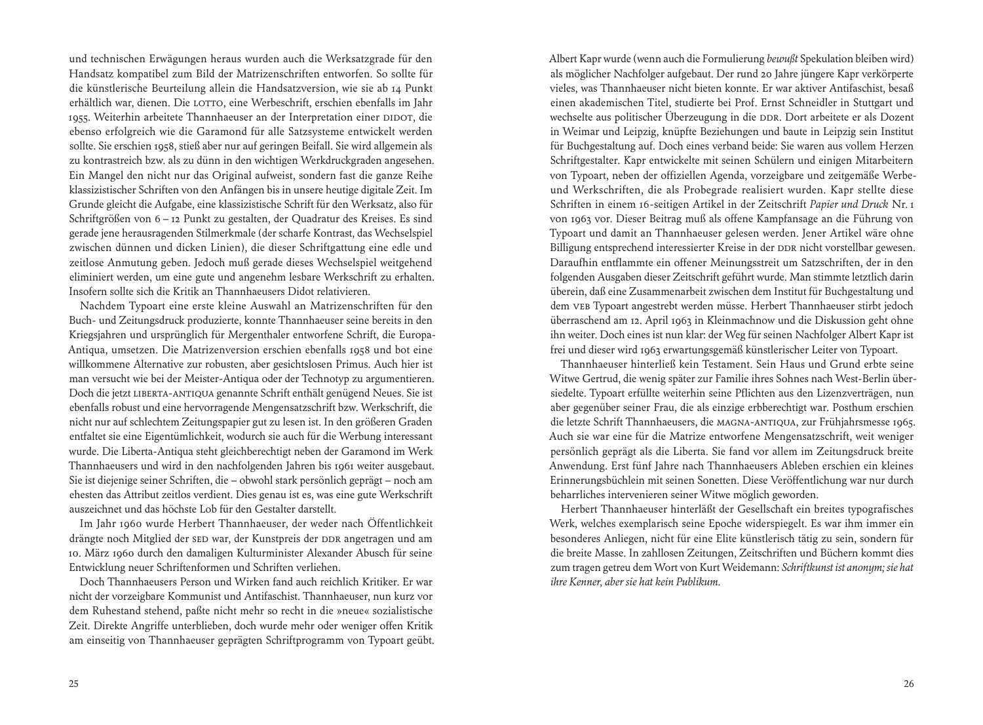und technischen Erwägungen heraus wurden auch die Werksatzgrade für den Handsatz kompatibel zum Bild der Matrizenschriften entworfen. So sollte für die künstlerische Beurteilung allein die Handsatzversion, wie sie ab 14 Punkt erhältlich war, dienen. Die LOTTO, eine Werbeschrift, erschien ebenfalls im Jahr 1955. Weiterhin arbeitete Thannhaeuser an der Interpretation einer DIDOT, die ebenso erfolgreich wie die Garamond für alle Satzsysteme entwickelt werden sollte. Sie erschien 1958, stieß aber nur auf geringen Beifall. Sie wird allgemein als zu kontrastreich bzw. als zu dünn in den wichtigen Werkdruckgraden angesehen. Ein Mangel den nicht nur das Original aufweist, sondern fast die ganze Reihe klassizistischer Schriften von den Anfängen bis in unsere heutige digitale Zeit. Im Grunde gleicht die Aufgabe, eine klassizistische Schrift für den Werksatz, also für Schriftgrößen von 6 – 12 Punkt zu gestalten, der Quadratur des Kreises. Es sind gerade jene herausragenden Stilmerkmale (der scharfe Kontrast, das Wechselspiel zwischen dünnen und dicken Linien), die dieser Schriftgattung eine edle und zeitlose Anmutung geben. Jedoch muß gerade dieses Wechselspiel weitgehend eliminiert werden, um eine gute und angenehm lesbare Werkschrift zu erhalten. Insofern sollte sich die Kritik an Thannhaeusers Didot relativieren.

 Nachdem Typoart eine erste kleine Auswahl an Matrizenschriften für den Buch- und Zeitungsdruck produzierte, konnte Thannhaeuser seine bereits in den Kriegsjahren und ursprünglich für Mergenthaler entworfene Schrift, die Europa-Antiqua, umsetzen. Die Matrizenversion erschien ebenfalls 1958 und bot eine willkommene Alternative zur robusten, aber gesichtslosen Primus. Auch hier ist man versucht wie bei der Meister-Antiqua oder der Technotyp zu argumentieren. Doch die jetzt Liberta-Antiqua genannte Schrift enthält genügend Neues. Sie ist ebenfalls robust und eine hervorragende Mengensatzschrift bzw. Werkschrift, die nicht nur auf schlechtem Zeitungspapier gut zu lesen ist. In den größeren Graden entfaltet sie eine Eigentümlichkeit, wodurch sie auch für die Werbung interessant wurde. Die Liberta-Antiqua steht gleichberechtigt neben der Garamond im Werk Thannhaeusers und wird in den nachfolgenden Jahren bis 1961 weiter ausgebaut. Sie ist diejenige seiner Schriften, die – obwohl stark persönlich geprägt – noch am ehesten das Attribut zeitlos verdient. Dies genau ist es, was eine gute Werkschrift auszeichnet und das höchste Lob für den Gestalter darstellt.

 Im Jahr 1960 wurde Herbert Thannhaeuser, der weder nach Öffentlichkeit drängte noch Mitglied der SED war, der Kunstpreis der DDR angetragen und am 10. März 1960 durch den damaligen Kulturminister Alexander Abusch für seine Entwicklung neuer Schriftenformen und Schriften verliehen.

 Doch Thannhaeusers Person und Wirken fand auch reichlich Kritiker. Er war nicht der vorzeigbare Kommunist und Antifaschist. Thannhaeuser, nun kurz vor dem Ruhestand stehend, paßte nicht mehr so recht in die »neue« sozialistische Zeit. Direkte Angriffe unterblieben, doch wurde mehr oder weniger offen Kritik am einseitig von Thannhaeuser geprägten Schriftprogramm von Typoart geübt. Albert Kapr wurde (wenn auch die Formulierung *bewußt* Spekulation bleiben wird) als möglicher Nachfolger aufgebaut. Der rund 20 Jahre jüngere Kapr verkörperte vieles, was Thannhaeuser nicht bieten konnte. Er war aktiver Antifaschist, besaß einen akademischen Titel, studierte bei Prof. Ernst Schneidler in Stuttgart und wechselte aus politischer Überzeugung in die DDR. Dort arbeitete er als Dozent in Weimar und Leipzig, knüpfte Beziehungen und baute in Leipzig sein Institut für Buchgestaltung auf. Doch eines verband beide: Sie waren aus vollem Herzen Schriftgestalter. Kapr entwickelte mit seinen Schülern und einigen Mitarbeitern von Typoart, neben der offiziellen Agenda, vorzeigbare und zeitgemäße Werbeund Werkschriften, die als Probegrade realisiert wurden. Kapr stellte diese Schriften in einem 16-seitigen Artikel in der Zeitschrift *Papier und Druck* Nr. 1 von 1963 vor. Dieser Beitrag muß als offene Kampfansage an die Führung von Typoart und damit an Thannhaeuser gelesen werden. Jener Artikel wäre ohne Billigung entsprechend interessierter Kreise in der DDR nicht vorstellbar gewesen. Daraufhin entflammte ein offener Meinungsstreit um Satzschriften, der in den folgenden Ausgaben dieser Zeitschrift geführt wurde. Man stimmte letztlich darin überein, daß eine Zusammenarbeit zwischen dem Institut für Buchgestaltung und dem VEB Typoart angestrebt werden müsse. Herbert Thannhaeuser stirbt jedoch überraschend am 12. April 1963 in Kleinmachnow und die Diskussion geht ohne ihn weiter. Doch eines ist nun klar: der Weg für seinen Nachfolger Albert Kapr ist frei und dieser wird 1963 erwartungsgemäß künstlerischer Leiter von Typoart.

 Thannhaeuser hinterließ kein Testament. Sein Haus und Grund erbte seine Witwe Gertrud, die wenig später zur Familie ihres Sohnes nach West-Berlin übersiedelte. Typoart erfüllte weiterhin seine Pflichten aus den Lizenzverträgen, nun aber gegenüber seiner Frau, die als einzige erbberechtigt war. Posthum erschien die letzte Schrift Thannhaeusers, die Magna-Antiqua, zur Frühjahrsmesse 1965. Auch sie war eine für die Matrize entworfene Mengensatzschrift, weit weniger persönlich geprägt als die Liberta. Sie fand vor allem im Zeitungsdruck breite Anwendung. Erst fünf Jahre nach Thannhaeusers Ableben erschien ein kleines Erinnerungsbüchlein mit seinen Sonetten. Diese Veröffentlichung war nur durch beharrliches intervenieren seiner Witwe möglich geworden.

 Herbert Thannhaeuser hinterläßt der Gesellschaft ein breites typografisches Werk, welches exemplarisch seine Epoche widerspiegelt. Es war ihm immer ein besonderes Anliegen, nicht für eine Elite künstlerisch tätig zu sein, sondern für die breite Masse. In zahllosen Zeitungen, Zeitschriften und Büchern kommt dies zum tragen getreu dem Wort von Kurt Weidemann: *Schriftkunst ist anonym; sie hat ihre Kenner, aber sie hat kein Publikum.*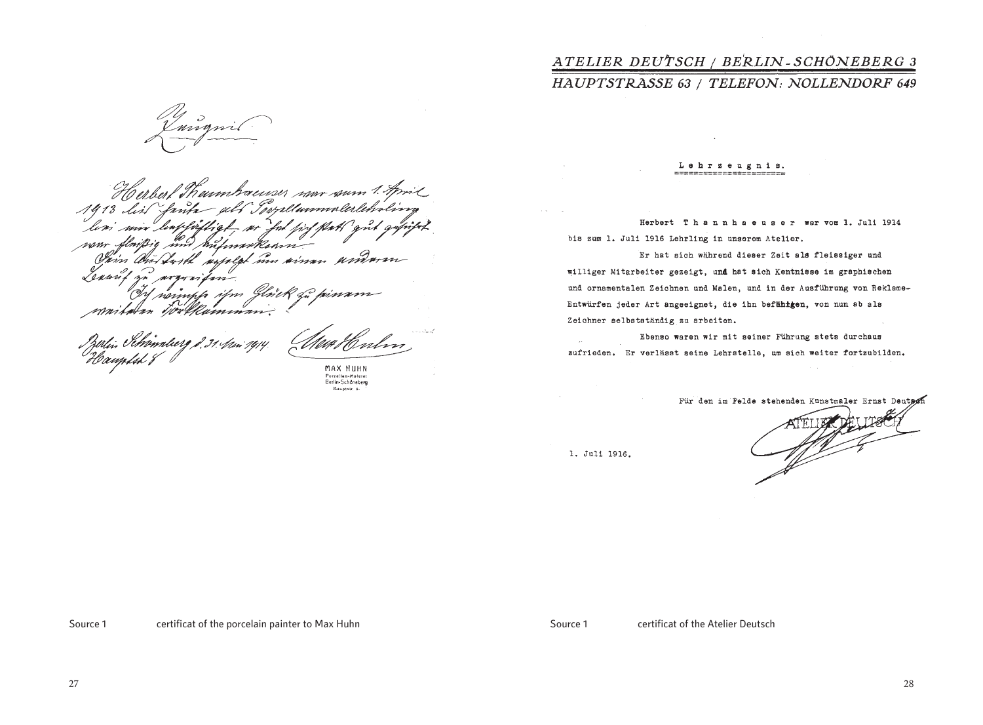Herbert Thumbauser non soun 1. April  $A\ddot{q}$  13 dist Innh lim mifmaxkann nom in usseled in simm Vam On Sort Lenn Williamm

Pzírlin Pe*hématoerg 2,31.4m 191*4.<br>U cemp*loh 8* 

MAX HUHN

Porzellan-Malerel Haustste R

# ATELIER DEUTSCH / BERLIN-SCHÖNEBERG 3

### HAUPTSTRASSE 63 / TELEFON: NOLLENDORF 649

Lehrzeugnis.

Herbert Thannhaeuser war vom 1. Juli 1914 bis zum 1. Juli 1916 Lehrling in unserem Atelier.

Er hat sich während dieser Zeit als fleissiger und williger Mitarbeiter gezeigt, und hat sich Kentnisse im graphischen und ornamentalen Zeichnen und Malen, und in der Ausführung von Reklame-Entwürfen jeder Art angeeignet, die ihn befähtgen, von nun ab als Zeichner selbstständig zu arbeiten.

Ebenso waren wir mit seiner Führung stets durchaus zufrieden. Er verlässt seine Lehrstelle, um sich weiter fortzubilden.

Für den im Felde stehenden Kunstmaler Ernst Deutsch

1. Juli 1916.

Source 1 certificat of the porcelain painter to Max Huhn Source 1 certificat of the Atelier Deutsch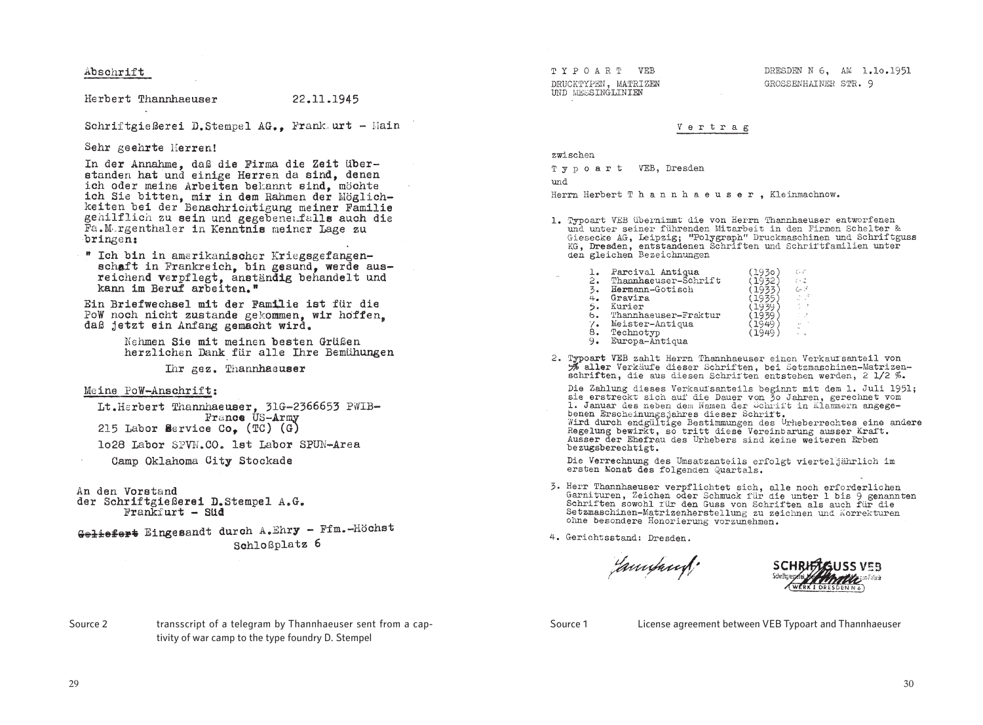Abschrift

Herbert Thannhaeuser

22.11.1945

Schriftgießerei D.Stempel AG.. Frank.urt - Main

Sehr geehrte Herren!

In der Annahme, daß die Firma die Zeit überstanden hat und einige Herren da sind, denen ich oder meine Arbeiten bekannt sind, möchte ich Sie bitten, mir in dem Rahmen der Möglichkeiten bei der Benachrichtigung meiner Familie gehilflich zu sein und gegebenenfalls auch die Fa.M.rgenthaler in Kenntnis meiner Lage zu bringen:

" Ich bin in amerikanischer Kriegsgefangenschaft in Frankreich, bin gesund, werde ausreichend verpflegt, anständig behandelt und kann im Beruf arbeiten."

Ein Briefwechsel mit der Familie ist für die PoW noch nicht zustande gekommen. wir hoffen. daß jetzt ein Anfang gemacht wird.

> Nehmen Sie mit meinen besten Grüßen herzlichen Dank für alle Ihre Bemühungen

> > Ihr gez. Thannhaeuser

#### Meine PoW-Anschrift:

Lt.Herbert Thannhaeuser, 31G-2366653 PWIB-France US-Army 215 Labor Service Co.  $(TC)$  (G)

lo28 Labor SPVN.CO. 1st Labor SPUN-Area

Camp Oklahoma City Stockade

An den Vorstand der Schriftgießerei D.Stempel A.G. Frankfurt - Süd

Geliefert Eingesandt durch A.Ehry - Ffm.-Höchst Schloßplatz 6

TYPOART VEB DRUCKTYPEN, MATRIZEN IND MESSINGLINIEN

DRESDEN N 6. AM 1.10.1951 GROSSENHATNER STR. Q

#### Vertrag

zwischen

Typoart VEB, Dresden

bout.

Herrn Herbert Thannhaeuser, Kleinmachnow.

1. Typoart VEB übernimmt die von Herrn Thannhaeuser entworfenen und unter seiner führenden Mitarbeit in den Firmen Schelter & Giesecke AG, Leipzig; "Polygraph" Druckmaschinen und Schriftguss KG, Dresden, entstandenen Schriften und Schriftfamilien unter den gleichen Bezeichnungen

| İ٠ | Parcival Antiqua     | (1930. | 6 C  |
|----|----------------------|--------|------|
| 2. | Thannhaeuser-Schrift | 1932   | ひよ   |
| 3. | Hermann-Gotisch      |        | 60 F |
| 4. | Gravira              |        | 人口论  |
| 5. | Kurier               |        |      |
| 6. | Thannhaeuser-Fraktur |        |      |
| ۰. | Meister-Antiqua      | 1940   |      |
| 8. | Technotyp            |        |      |
|    |                      |        |      |

- 9. Europa-Antiqua
- 2. Typoart VEB zahlt Herrn Thannhaeuser einen Verkautsanteil von % aller Verkäufe dieser Schriften, bei Setzmaschinen-Matrizenschriften, die aus diesen Schriften entstehen werden, 2 1/2 %.

Die Zahlung dieses Verkaufsanteils beginnt mit dem 1. Juli 1951; sie erstreckt sich auf die Dauer von 30 Jahren, gerechnet vom 1. Januar des neben dem Namen der Schrift in Klammern angegebenen Erscheinungsjahres dieser Schrift. In Alammein ausges-Regelung bewirkt, so tritt diese Vereinbarung ausser Kraft. Ausser der Ehefrau des Urhebers sind keine weiteren Erben bezugsberechtigt.

Die Verrechnung des Umsatzanteils erfolgt vierteljährlich im ersten Monat des folgenden Quartals.

3. Herr Thannhaeuser verpflichtet sich, alle noch erforderlichen Garnituren, Zeichen oder Schmuck für die unter 1 bis 9 genannten Schriften sowohl für den Guss von Schriften als auch für die Setzmaschinen-Matrizenherstellung zu zeichnen und Korrekturen ohne besondere Honorierung vorzunehmen.

4. Gerichtsstand: Dresden.

Jannsburg !

Source 2 transscript of a telegram by Thannhaeuser sent from a captivity of war camp to the type foundry D. Stempel

Source 1 License agreement between VEB Typoart and Thannhaeuser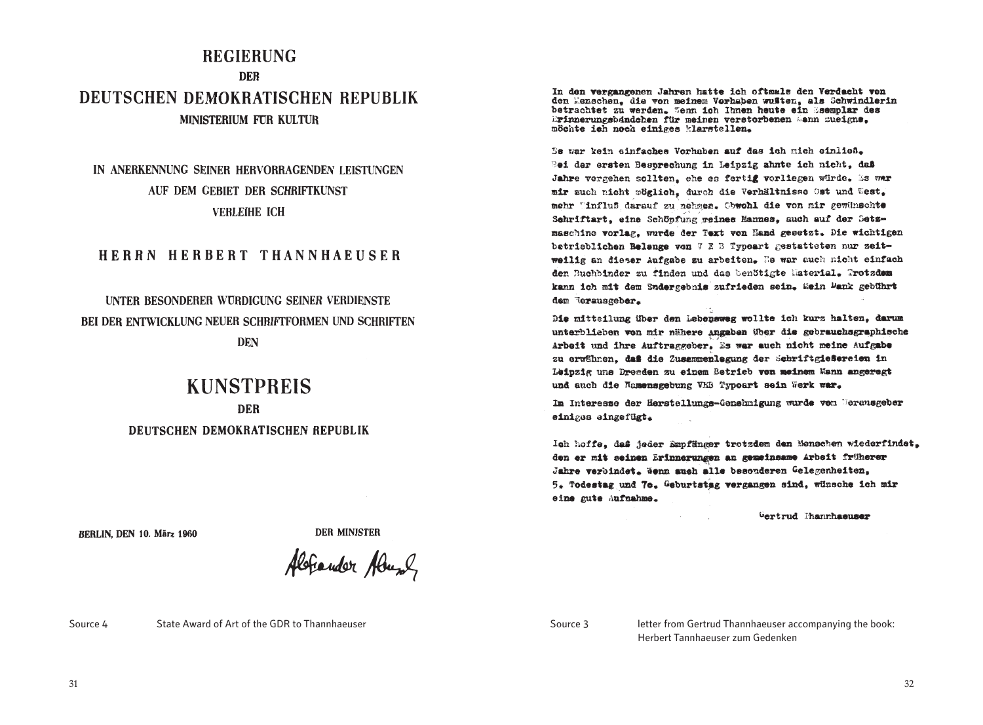## **REGIERUNG DFR** DEUTSCHEN DEMOKRATISCHEN REPUBLIK **MINISTERIUM FUR KULTUR**

## IN ANERKENNUNG SEINER HERVORRAGENDEN LEISTUNGEN AUF DEM GEBIET DER SCHRIFTKUNST **VERLEIHE ICH**

#### HERRN HERBERT THANNHAEUSER

## UNTER BESONDERER WURDIGUNG SEINER VERDIENSTE **BEI DER ENTWICKLING NEUER SCHRIFTFORMEN UND SCHRIFTEN DEN**

# **KUNSTPREIS**

**DER** DEUTSCHEN DEMOKRATISCHEN REPUBLIK In den vergangenen Jahren hatte ich oftmals den Verdacht von den Menschen, die von meinem Vorhaben wußten, als Schwindlerin betrachtet zu werden. Tenn ich Ihnen heute ein Ssemplar des Erinnerungsbändehen für meinen verstorbenen Sann zueigne. möchte ish noch einiges klarstellen.

Bs war kein einfaches Vorhaben auf das ich mich einließ. Rei der ersten Besprechung in Leinzig ahnte ich nicht, daß Jahre vergehen sollten, ehe es fertig vorliegen würde. Es war mir auch nicht möglich, durch die Verhältnisse Ost und West, mehr Tinfluß darauf zu nehmen. Obwohl die von mir gewünschte Schriftart, eine Schöpfung reines Mannes, auch auf der Setzmaschine vorlag, wurde der Text von Hand gesetzt. Die wichtigen betrieblichen Belange von V E B Typeart gestatteten nur zeitweilig an dieser Aufgabe zu arbeiten. Es war auch nicht einfach den Buchbinder zu finden und das benötigte Naterial. Trotzdem kann ich mit dem Sndergebnis zufrieden sein. Wein Dank gebührt dem Terausgeber.

Die mitteilung über den Lebensweg wollte ich kurz halten, darum unterblieben von mir nähere Angaben über die gebrauchsgraphische Arbeit und ihre Auftraggeber. Es war auch nicht meine Aufgabe zu erwähnen. daß die Zusammenlegung der Schriftgießereien in Leipzig une Dresden zu einem Betrieb von meinem Mann angeregt und auch die Namensgebung VEB Typoart sein Werk war.

Im Interesse der Herstellungs-Genehmigung wurde vom Merausgeber einiges eingefügt.

Ich hoffe, daß jeder Empfänger trotzdem den Menschen wiederfindet. den er mit seinen Erinnerungen an gemeinsame Arbeit früherer Jahre verbindet. Wenn auch alle besonderen Gelegenheiten. 5. Todestag und 70. Geburtstag vergangen sind, wünsche ich mir eine gute Aufnahme.

Gertrud Thannhaeuser

**BERLIN DEN 10. März 1960** 

**DER MINISTER** 

Aleriander Abusel

Source 4 State Award of Art of the GDR to Thannhaeuser Source 3 letter from Gertrud Thannhaeuser accompanying the book:

Herbert Tannhaeuser zum Gedenken